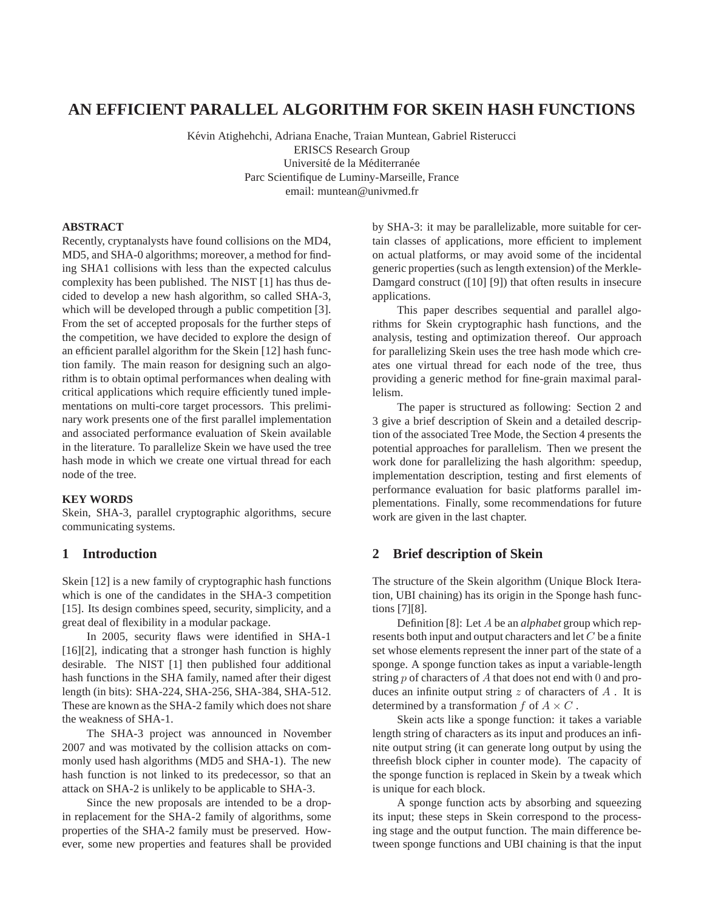# **AN EFFICIENT PARALLEL ALGORITHM FOR SKEIN HASH FUNCTIONS**

Kévin Atighehchi, Adriana Enache, Traian Muntean, Gabriel Risterucci ERISCS Research Group Université de la Méditerranée Parc Scientifique de Luminy-Marseille, France email: muntean@univmed.fr

### **ABSTRACT**

Recently, cryptanalysts have found collisions on the MD4, MD5, and SHA-0 algorithms; moreover, a method for finding SHA1 collisions with less than the expected calculus complexity has been published. The NIST [1] has thus decided to develop a new hash algorithm, so called SHA-3, which will be developed through a public competition [3]. From the set of accepted proposals for the further steps of the competition, we have decided to explore the design of an efficient parallel algorithm for the Skein [12] hash function family. The main reason for designing such an algorithm is to obtain optimal performances when dealing with critical applications which require efficiently tuned implementations on multi-core target processors. This preliminary work presents one of the first parallel implementation and associated performance evaluation of Skein available in the literature. To parallelize Skein we have used the tree hash mode in which we create one virtual thread for each node of the tree.

## **KEY WORDS**

Skein, SHA-3, parallel cryptographic algorithms, secure communicating systems.

## **1 Introduction**

Skein [12] is a new family of cryptographic hash functions which is one of the candidates in the SHA-3 competition [15]. Its design combines speed, security, simplicity, and a great deal of flexibility in a modular package.

In 2005, security flaws were identified in SHA-1 [16][2], indicating that a stronger hash function is highly desirable. The NIST [1] then published four additional hash functions in the SHA family, named after their digest length (in bits): SHA-224, SHA-256, SHA-384, SHA-512. These are known as the SHA-2 family which does not share the weakness of SHA-1.

The SHA-3 project was announced in November 2007 and was motivated by the collision attacks on commonly used hash algorithms (MD5 and SHA-1). The new hash function is not linked to its predecessor, so that an attack on SHA-2 is unlikely to be applicable to SHA-3.

Since the new proposals are intended to be a dropin replacement for the SHA-2 family of algorithms, some properties of the SHA-2 family must be preserved. However, some new properties and features shall be provided by SHA-3: it may be parallelizable, more suitable for certain classes of applications, more efficient to implement on actual platforms, or may avoid some of the incidental generic properties (such as length extension) of the Merkle-Damgard construct ([10] [9]) that often results in insecure applications.

This paper describes sequential and parallel algorithms for Skein cryptographic hash functions, and the analysis, testing and optimization thereof. Our approach for parallelizing Skein uses the tree hash mode which creates one virtual thread for each node of the tree, thus providing a generic method for fine-grain maximal parallelism.

The paper is structured as following: Section 2 and 3 give a brief description of Skein and a detailed description of the associated Tree Mode, the Section 4 presents the potential approaches for parallelism. Then we present the work done for parallelizing the hash algorithm: speedup, implementation description, testing and first elements of performance evaluation for basic platforms parallel implementations. Finally, some recommendations for future work are given in the last chapter.

## **2 Brief description of Skein**

The structure of the Skein algorithm (Unique Block Iteration, UBI chaining) has its origin in the Sponge hash functions [7][8].

Definition [8]: Let A be an *alphabet* group which represents both input and output characters and let  $C$  be a finite set whose elements represent the inner part of the state of a sponge. A sponge function takes as input a variable-length string  $p$  of characters of  $A$  that does not end with 0 and produces an infinite output string  $z$  of characters of  $A$ . It is determined by a transformation  $f$  of  $A \times C$ .

Skein acts like a sponge function: it takes a variable length string of characters as its input and produces an infinite output string (it can generate long output by using the threefish block cipher in counter mode). The capacity of the sponge function is replaced in Skein by a tweak which is unique for each block.

A sponge function acts by absorbing and squeezing its input; these steps in Skein correspond to the processing stage and the output function. The main difference between sponge functions and UBI chaining is that the input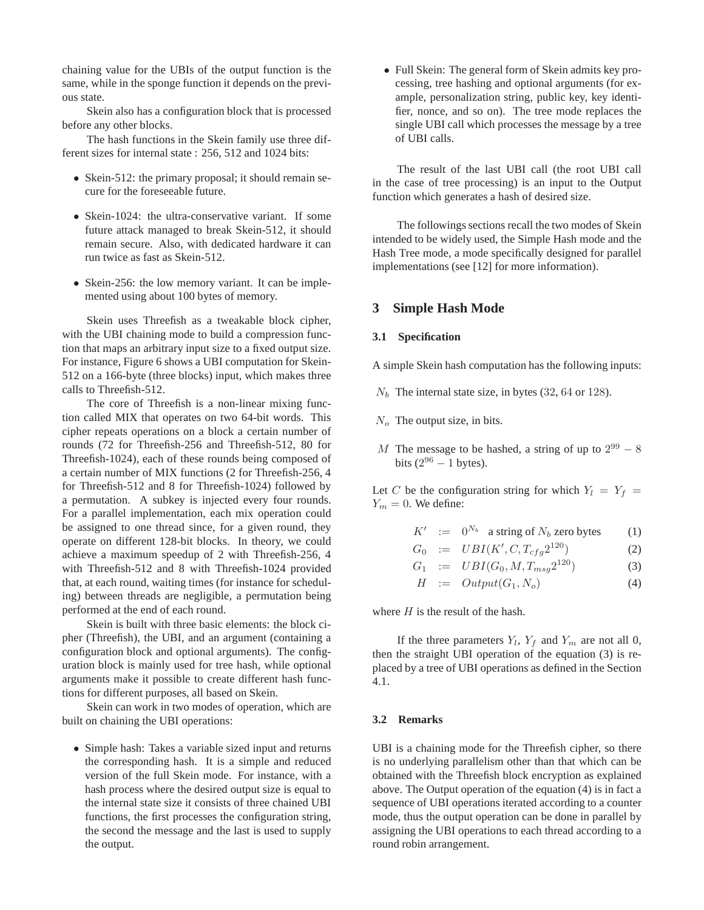chaining value for the UBIs of the output function is the same, while in the sponge function it depends on the previous state.

Skein also has a configuration block that is processed before any other blocks.

The hash functions in the Skein family use three different sizes for internal state : 256, 512 and 1024 bits:

- Skein-512: the primary proposal; it should remain secure for the foreseeable future.
- Skein-1024: the ultra-conservative variant. If some future attack managed to break Skein-512, it should remain secure. Also, with dedicated hardware it can run twice as fast as Skein-512.
- Skein-256: the low memory variant. It can be implemented using about 100 bytes of memory.

Skein uses Threefish as a tweakable block cipher, with the UBI chaining mode to build a compression function that maps an arbitrary input size to a fixed output size. For instance, Figure 6 shows a UBI computation for Skein-512 on a 166-byte (three blocks) input, which makes three calls to Threefish-512.

The core of Threefish is a non-linear mixing function called MIX that operates on two 64-bit words. This cipher repeats operations on a block a certain number of rounds (72 for Threefish-256 and Threefish-512, 80 for Threefish-1024), each of these rounds being composed of a certain number of MIX functions (2 for Threefish-256, 4 for Threefish-512 and 8 for Threefish-1024) followed by a permutation. A subkey is injected every four rounds. For a parallel implementation, each mix operation could be assigned to one thread since, for a given round, they operate on different 128-bit blocks. In theory, we could achieve a maximum speedup of 2 with Threefish-256, 4 with Threefish-512 and 8 with Threefish-1024 provided that, at each round, waiting times (for instance for scheduling) between threads are negligible, a permutation being performed at the end of each round.

Skein is built with three basic elements: the block cipher (Threefish), the UBI, and an argument (containing a configuration block and optional arguments). The configuration block is mainly used for tree hash, while optional arguments make it possible to create different hash functions for different purposes, all based on Skein.

Skein can work in two modes of operation, which are built on chaining the UBI operations:

• Simple hash: Takes a variable sized input and returns the corresponding hash. It is a simple and reduced version of the full Skein mode. For instance, with a hash process where the desired output size is equal to the internal state size it consists of three chained UBI functions, the first processes the configuration string, the second the message and the last is used to supply the output.

• Full Skein: The general form of Skein admits key processing, tree hashing and optional arguments (for example, personalization string, public key, key identifier, nonce, and so on). The tree mode replaces the single UBI call which processes the message by a tree of UBI calls.

The result of the last UBI call (the root UBI call in the case of tree processing) is an input to the Output function which generates a hash of desired size.

The followings sections recall the two modes of Skein intended to be widely used, the Simple Hash mode and the Hash Tree mode, a mode specifically designed for parallel implementations (see [12] for more information).

## **3 Simple Hash Mode**

### **3.1 Specification**

A simple Skein hash computation has the following inputs:

- $N_b$  The internal state size, in bytes (32, 64 or 128).
- $N<sub>o</sub>$  The output size, in bits.
- M The message to be hashed, a string of up to  $2^{99} 8$ bits  $(2^{96} - 1$  bytes).

Let C be the configuration string for which  $Y_l = Y_f$  =  $Y_m = 0$ . We define:

- $K' := 0^{N_b}$  a string of  $N_b$  zero bytes (1)
- $G_0$  :=  $UBI(K', C, T_{cfg}2^{120})$  (2)
- $G_1$  :=  $UBI(G_0, M, T_{msg}2^{120})$  (3)
- $H \coloneqq Output(G_1, N_o)$  (4)

where  $H$  is the result of the hash.

If the three parameters  $Y_l$ ,  $Y_f$  and  $Y_m$  are not all 0, then the straight UBI operation of the equation (3) is replaced by a tree of UBI operations as defined in the Section 4.1.

#### **3.2 Remarks**

UBI is a chaining mode for the Threefish cipher, so there is no underlying parallelism other than that which can be obtained with the Threefish block encryption as explained above. The Output operation of the equation (4) is in fact a sequence of UBI operations iterated according to a counter mode, thus the output operation can be done in parallel by assigning the UBI operations to each thread according to a round robin arrangement.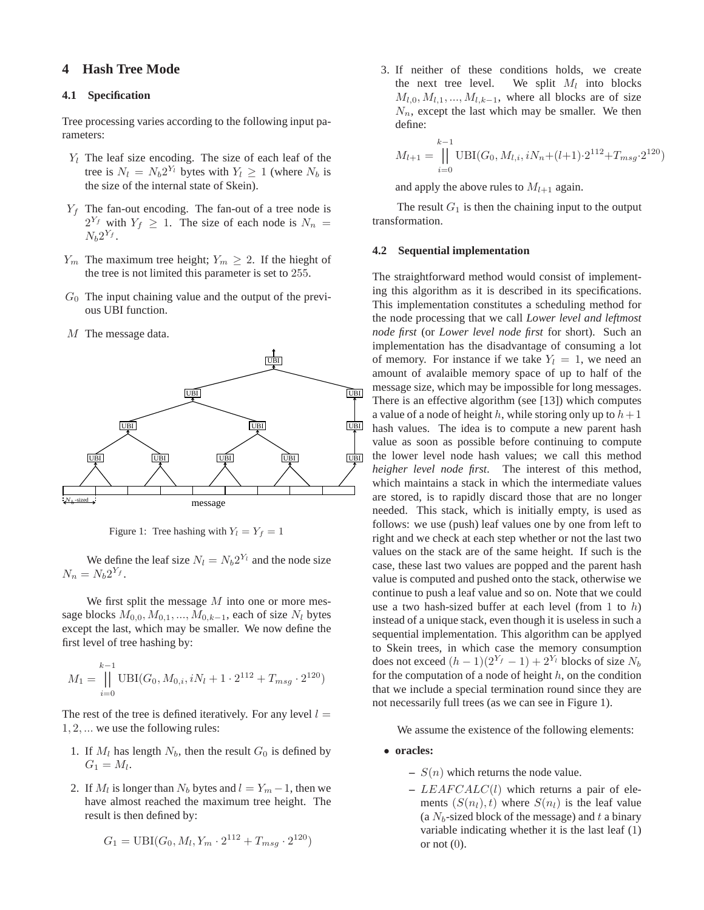## **4 Hash Tree Mode**

## **4.1 Specification**

Tree processing varies according to the following input parameters:

- $Y_l$  The leaf size encoding. The size of each leaf of the tree is  $N_l = N_b 2^{Y_l}$  bytes with  $Y_l \geq 1$  (where  $N_b$  is the size of the internal state of Skein).
- $Y_f$  The fan-out encoding. The fan-out of a tree node is  $2^{Y_f}$  with  $Y_f \geq 1$ . The size of each node is  $N_n =$  $N_b 2^{Y_f}$ .
- $Y_m$  The maximum tree height;  $Y_m \geq 2$ . If the hieght of the tree is not limited this parameter is set to 255.
- $G_0$  The input chaining value and the output of the previous UBI function.
- M The message data.



Figure 1: Tree hashing with  $Y_l = Y_f = 1$ 

We define the leaf size  $N_l = N_b 2^{Y_l}$  and the node size  $N_n = N_b 2^{Y_f}.$ 

We first split the message  $M$  into one or more message blocks  $M_{0,0}, M_{0,1}, ..., M_{0,k-1}$ , each of size  $N_l$  bytes except the last, which may be smaller. We now define the first level of tree hashing by:

$$
M_1 = \prod_{i=0}^{k-1} \text{UBI}(G_0, M_{0,i}, iN_l + 1 \cdot 2^{112} + T_{msg} \cdot 2^{120})
$$

The rest of the tree is defined iteratively. For any level  $l =$ 1, 2, ... we use the following rules:

- 1. If  $M_l$  has length  $N_b$ , then the result  $G_0$  is defined by  $G_1 = M_l.$
- 2. If  $M_l$  is longer than  $N_b$  bytes and  $l = Y_m 1$ , then we have almost reached the maximum tree height. The result is then defined by:

$$
G_1 = \text{UBI}(G_0, M_l, Y_m \cdot 2^{112} + T_{msg} \cdot 2^{120})
$$

3. If neither of these conditions holds, we create the next tree level. We split  $M_l$  into blocks  $M_{l,0}, M_{l,1}, ..., M_{l,k-1}$ , where all blocks are of size  $N_n$ , except the last which may be smaller. We then define:

$$
M_{l+1} = \prod_{i=0}^{k-1} \text{UBI}(G_0, M_{l,i}, iN_n + (l+1) \cdot 2^{112} + T_{msg} \cdot 2^{120})
$$

and apply the above rules to  $M_{l+1}$  again.

The result  $G_1$  is then the chaining input to the output transformation.

#### **4.2 Sequential implementation**

The straightforward method would consist of implementing this algorithm as it is described in its specifications. This implementation constitutes a scheduling method for the node processing that we call *Lower level and leftmost node first* (or *Lower level node first* for short). Such an implementation has the disadvantage of consuming a lot of memory. For instance if we take  $Y_l = 1$ , we need an amount of avalaible memory space of up to half of the message size, which may be impossible for long messages. There is an effective algorithm (see [13]) which computes a value of a node of height h, while storing only up to  $h+1$ hash values. The idea is to compute a new parent hash value as soon as possible before continuing to compute the lower level node hash values; we call this method *heigher level node first*. The interest of this method, which maintains a stack in which the intermediate values are stored, is to rapidly discard those that are no longer needed. This stack, which is initially empty, is used as follows: we use (push) leaf values one by one from left to right and we check at each step whether or not the last two values on the stack are of the same height. If such is the case, these last two values are popped and the parent hash value is computed and pushed onto the stack, otherwise we continue to push a leaf value and so on. Note that we could use a two hash-sized buffer at each level (from 1 to  $h$ ) instead of a unique stack, even though it is useless in such a sequential implementation. This algorithm can be applyed to Skein trees, in which case the memory consumption does not exceed  $(h - 1)(2^{Y_f} - 1) + 2^{Y_l}$  blocks of size  $N_b$ for the computation of a node of height  $h$ , on the condition that we include a special termination round since they are not necessarily full trees (as we can see in Figure 1).

We assume the existence of the following elements:

- **oracles:**
	- $S(n)$  which returns the node value.
	- **–** LEAF CALC(l) which returns a pair of elements  $(S(n_l), t)$  where  $S(n_l)$  is the leaf value (a  $N_b$ -sized block of the message) and t a binary variable indicating whether it is the last leaf (1) or not  $(0)$ .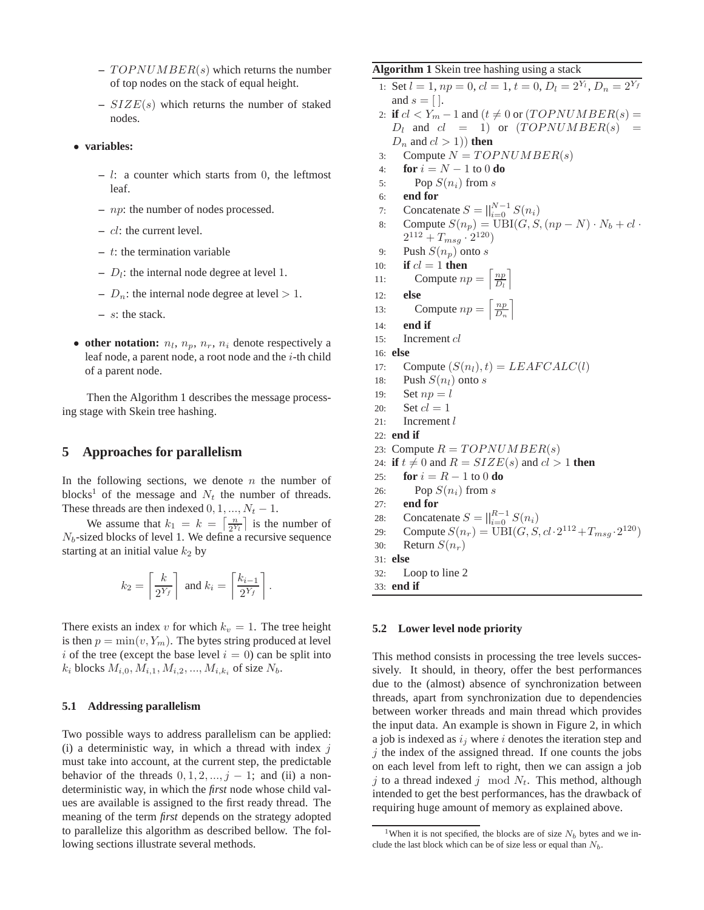- $-TOPNUMBER(s)$  which returns the number of top nodes on the stack of equal height.
- **–** SIZE(s) which returns the number of staked nodes.
- **variables:**
	- **–** l: a counter which starts from 0, the leftmost leaf.
	- **–** np: the number of nodes processed.
	- **–** cl: the current level.
	- **–** t: the termination variable
	- $-D_l$ : the internal node degree at level 1.
	- $-D_n$ : the internal node degree at level  $> 1$ .
	- **–** s: the stack.
- other notation:  $n_l$ ,  $n_p$ ,  $n_r$ ,  $n_i$  denote respectively a leaf node, a parent node, a root node and the  $i$ -th child of a parent node.

Then the Algorithm 1 describes the message processing stage with Skein tree hashing.

## **5 Approaches for parallelism**

In the following sections, we denote  $n$  the number of blocks<sup>1</sup> of the message and  $N_t$  the number of threads. These threads are then indexed  $0, 1, ..., N_t - 1$ .

We assume that  $k_1 = k = \left\lceil \frac{n}{2^Y} \right\rceil$  $\frac{n}{2^{Y_l}}$  is the number of  $N_b$ -sized blocks of level 1. We define a recursive sequence starting at an initial value  $k_2$  by

$$
k_2 = \left\lceil \frac{k}{2^{Y_f}} \right\rceil \text{ and } k_i = \left\lceil \frac{k_{i-1}}{2^{Y_f}} \right\rceil.
$$

There exists an index v for which  $k_v = 1$ . The tree height is then  $p = min(v, Y_m)$ . The bytes string produced at level i of the tree (except the base level  $i = 0$ ) can be split into  $k_i$  blocks  $M_{i,0}, M_{i,1}, M_{i,2}, ..., M_{i,k_i}$  of size  $N_b$ .

#### **5.1 Addressing parallelism**

Two possible ways to address parallelism can be applied: (i) a deterministic way, in which a thread with index  $i$ must take into account, at the current step, the predictable behavior of the threads  $0, 1, 2, ..., j - 1$ ; and (ii) a nondeterministic way, in which the *first* node whose child values are available is assigned to the first ready thread. The meaning of the term *first* depends on the strategy adopted to parallelize this algorithm as described bellow. The following sections illustrate several methods.

## **Algorithm 1** Skein tree hashing using a stack

```
1: Set l = 1, np = 0, cl = 1, t = 0, D_l = 2^{Y_l}, D_n = 2^{Y_f}and s = [.
 2: if cl < Y_m - 1 and (t \neq 0 or (TOPNUMBER(s) =D_l and cl = 1) or (TOPNUMBER(s)) =D_n and cl > 1) then
 3: Compute N = TOPNUMBER(s)4: for i = N - 1 to 0 do
5: Pop S(n_i) from s
 6: end for
 7: Concatenate S = ||_{i=0}^{N-1} S(n_i)8: Compute S(n_p) = \text{UBI}(G, S, (np - N) \cdot N_b + cl \cdot2^{112} + T_{msg} \cdot 2^{120}9: Push S(n_p) onto s
10: if cl = 1 then
11: Compute np = \left\lceil \frac{np}{D_l} \right\rceil12: else
13: Compute np = \left\lceil \frac{np}{D_n} \right\rceil14: end if
15: Increment cl
16: else
17: Compute (S(n_l), t) = LEAFCALC(l)18: Push S(n_l) onto s
19: Set np = l20: Set cl = 121: Increment l
22: end if
23: Compute R = TOPNUMBER(s)24: if t \neq 0 and R = SIZE(s) and cl > 1 then
25: for i = R - 1 to 0 do
26: Pop S(n_i) from s
27: end for
28: Concatenate S = \bigcup_{i=0}^{R-1} S(n_i)29: Compute S(n_r) = \text{UBI}(G, S, cl \cdot 2^{112} + T_{msg} \cdot 2^{120})30: Return S(n_r)31: else
32: Loop to line 2
33: end if
```
#### **5.2 Lower level node priority**

This method consists in processing the tree levels successively. It should, in theory, offer the best performances due to the (almost) absence of synchronization between threads, apart from synchronization due to dependencies between worker threads and main thread which provides the input data. An example is shown in Figure 2, in which a job is indexed as  $i_j$  where i denotes the iteration step and  $j$  the index of the assigned thread. If one counts the jobs on each level from left to right, then we can assign a job j to a thread indexed j mod  $N_t$ . This method, although intended to get the best performances, has the drawback of requiring huge amount of memory as explained above.

<sup>&</sup>lt;sup>1</sup>When it is not specified, the blocks are of size  $N_b$  bytes and we include the last block which can be of size less or equal than  $N_b$ .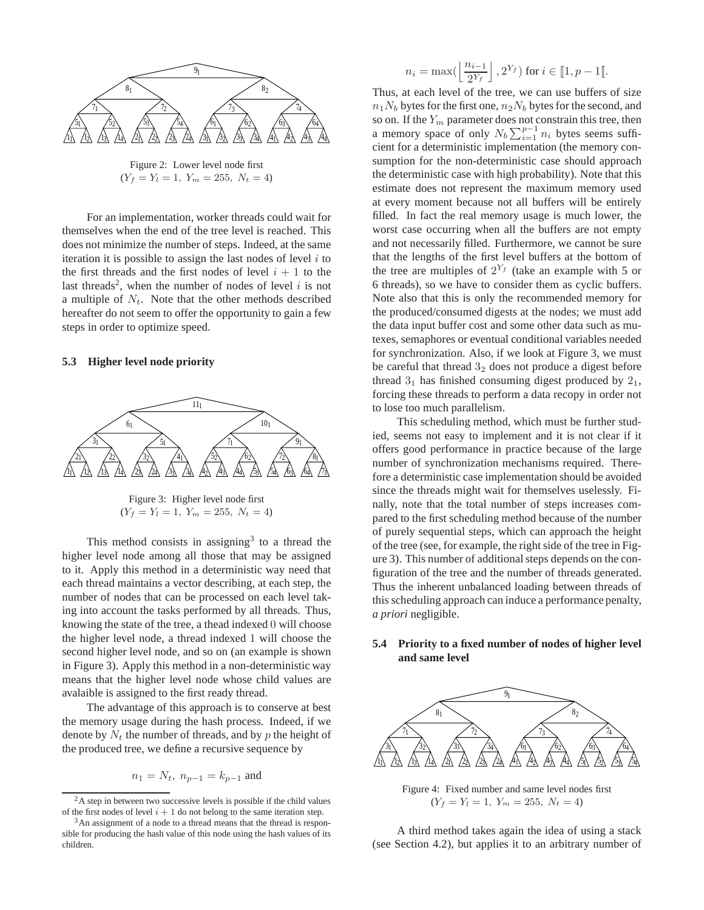

Figure 2: Lower level node first  $(Y_f = Y_l = 1, Y_m = 255, N_t = 4)$ 

For an implementation, worker threads could wait for themselves when the end of the tree level is reached. This does not minimize the number of steps. Indeed, at the same iteration it is possible to assign the last nodes of level  $i$  to the first threads and the first nodes of level  $i + 1$  to the last threads<sup>2</sup>, when the number of nodes of level  $i$  is not a multiple of  $N_t$ . Note that the other methods described hereafter do not seem to offer the opportunity to gain a few steps in order to optimize speed.

#### **5.3 Higher level node priority**



This method consists in assigning<sup>3</sup> to a thread the higher level node among all those that may be assigned to it. Apply this method in a deterministic way need that each thread maintains a vector describing, at each step, the number of nodes that can be processed on each level taking into account the tasks performed by all threads. Thus, knowing the state of the tree, a thead indexed 0 will choose the higher level node, a thread indexed 1 will choose the second higher level node, and so on (an example is shown in Figure 3). Apply this method in a non-deterministic way means that the higher level node whose child values are avalaible is assigned to the first ready thread.

The advantage of this approach is to conserve at best the memory usage during the hash process. Indeed, if we denote by  $N_t$  the number of threads, and by p the height of the produced tree, we define a recursive sequence by

$$
n_1 = N_t
$$
,  $n_{p-1} = k_{p-1}$  and

$$
n_i = \max\left(\left\lfloor \frac{n_{i-1}}{2^{Y_f}} \right\rfloor, 2^{Y_f}\right) \text{ for } i \in [1, p-1[.
$$

Thus, at each level of the tree, we can use buffers of size  $n_1N_b$  bytes for the first one,  $n_2N_b$  bytes for the second, and so on. If the  $Y_m$  parameter does not constrain this tree, then a memory space of only  $N_b \sum_{i=1}^{p-1} n_i$  bytes seems sufficient for a deterministic implementation (the memory consumption for the non-deterministic case should approach the deterministic case with high probability). Note that this estimate does not represent the maximum memory used at every moment because not all buffers will be entirely filled. In fact the real memory usage is much lower, the worst case occurring when all the buffers are not empty and not necessarily filled. Furthermore, we cannot be sure that the lengths of the first level buffers at the bottom of the tree are multiples of  $2^{Y_f}$  (take an example with 5 or 6 threads), so we have to consider them as cyclic buffers. Note also that this is only the recommended memory for the produced/consumed digests at the nodes; we must add the data input buffer cost and some other data such as mutexes, semaphores or eventual conditional variables needed for synchronization. Also, if we look at Figure 3, we must be careful that thread  $3<sub>2</sub>$  does not produce a digest before thread  $3<sub>1</sub>$  has finished consuming digest produced by  $2<sub>1</sub>$ , forcing these threads to perform a data recopy in order not to lose too much parallelism.

This scheduling method, which must be further studied, seems not easy to implement and it is not clear if it offers good performance in practice because of the large number of synchronization mechanisms required. Therefore a deterministic case implementation should be avoided since the threads might wait for themselves uselessly. Finally, note that the total number of steps increases compared to the first scheduling method because of the number of purely sequential steps, which can approach the height of the tree (see, for example, the right side of the tree in Figure 3). This number of additional steps depends on the configuration of the tree and the number of threads generated. Thus the inherent unbalanced loading between threads of this scheduling approach can induce a performance penalty, *a priori* negligible.

## **5.4 Priority to a fixed number of nodes of higher level and same level**



Figure 4: Fixed number and same level nodes first  $(Y_f = Y_l = 1, Y_m = 255, N_t = 4)$ 

A third method takes again the idea of using a stack (see Section 4.2), but applies it to an arbitrary number of

<sup>&</sup>lt;sup>2</sup>A step in between two successive levels is possible if the child values of the first nodes of level  $i + 1$  do not belong to the same iteration step.

<sup>&</sup>lt;sup>3</sup>An assignment of a node to a thread means that the thread is responsible for producing the hash value of this node using the hash values of its children.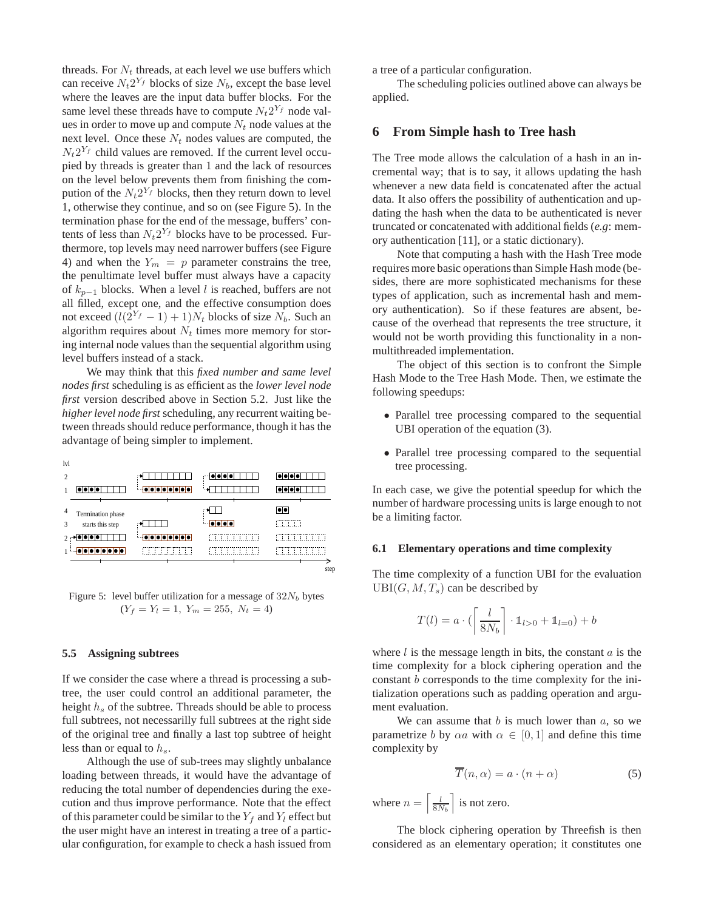threads. For  $N_t$  threads, at each level we use buffers which can receive  $N_t 2^{Y_f}$  blocks of size  $N_b$ , except the base level where the leaves are the input data buffer blocks. For the same level these threads have to compute  $N_t 2^{Y_f}$  node values in order to move up and compute  $N_t$  node values at the next level. Once these  $N_t$  nodes values are computed, the  $N_t 2^{Y_f}$  child values are removed. If the current level occupied by threads is greater than 1 and the lack of resources on the level below prevents them from finishing the compution of the  $N_t 2^{Y_f}$  blocks, then they return down to level 1, otherwise they continue, and so on (see Figure 5). In the termination phase for the end of the message, buffers' contents of less than  $N_t 2^{Y_f}$  blocks have to be processed. Furthermore, top levels may need narrower buffers (see Figure 4) and when the  $Y_m = p$  parameter constrains the tree, the penultimate level buffer must always have a capacity of  $k_{p-1}$  blocks. When a level l is reached, buffers are not all filled, except one, and the effective consumption does not exceed  $(l(2^{Y_f} - 1) + 1)N_t$  blocks of size  $N_b$ . Such an algorithm requires about  $N_t$  times more memory for storing internal node values than the sequential algorithm using level buffers instead of a stack.

We may think that this *fixed number and same level nodes first* scheduling is as efficient as the *lower level node first* version described above in Section 5.2. Just like the *higher level node first* scheduling, any recurrent waiting between threads should reduce performance, though it has the advantage of being simpler to implement.

| lvl            |                   |                    |                                             |                                           |
|----------------|-------------------|--------------------|---------------------------------------------|-------------------------------------------|
| $\overline{2}$ |                   |                    | $  \bullet   \bullet   \bullet   \bullet  $ | $  \bullet   \bullet   \bullet   \bullet$ |
|                |                   | <b>OOOOOOOO</b>    |                                             |                                           |
| $\overline{4}$ | Termination phase |                    |                                             | $  \bullet   \bullet  $                   |
| 3              | starts this step  |                    | lo o lo lo l                                | <b>COOL</b>                               |
|                |                   | $\sim$ 000000000   |                                             |                                           |
|                |                   | <u>FINITININ T</u> |                                             | 1.1.1                                     |
|                |                   |                    |                                             | step                                      |

Figure 5: level buffer utilization for a message of  $32N_b$  bytes  $(Y_f = Y_l = 1, Y_m = 255, N_t = 4)$ 

#### **5.5 Assigning subtrees**

If we consider the case where a thread is processing a subtree, the user could control an additional parameter, the height  $h_s$  of the subtree. Threads should be able to process full subtrees, not necessarilly full subtrees at the right side of the original tree and finally a last top subtree of height less than or equal to  $h_s$ .

Although the use of sub-trees may slightly unbalance loading between threads, it would have the advantage of reducing the total number of dependencies during the execution and thus improve performance. Note that the effect of this parameter could be similar to the  $Y_f$  and  $Y_l$  effect but the user might have an interest in treating a tree of a particular configuration, for example to check a hash issued from

a tree of a particular configuration.

The scheduling policies outlined above can always be applied.

## **6 From Simple hash to Tree hash**

The Tree mode allows the calculation of a hash in an incremental way; that is to say, it allows updating the hash whenever a new data field is concatenated after the actual data. It also offers the possibility of authentication and updating the hash when the data to be authenticated is never truncated or concatenated with additional fields (*e.g*: memory authentication [11], or a static dictionary).

Note that computing a hash with the Hash Tree mode requires more basic operations than Simple Hash mode (besides, there are more sophisticated mechanisms for these types of application, such as incremental hash and memory authentication). So if these features are absent, because of the overhead that represents the tree structure, it would not be worth providing this functionality in a nonmultithreaded implementation.

The object of this section is to confront the Simple Hash Mode to the Tree Hash Mode. Then, we estimate the following speedups:

- Parallel tree processing compared to the sequential UBI operation of the equation (3).
- Parallel tree processing compared to the sequential tree processing.

In each case, we give the potential speedup for which the number of hardware processing units is large enough to not be a limiting factor.

#### **6.1 Elementary operations and time complexity**

The time complexity of a function UBI for the evaluation  $UBI(G, M, T_s)$  can be described by

$$
T(l) = a \cdot (\left\lceil \frac{l}{8N_b} \right\rceil \cdot \mathbb{1}_{l>0} + \mathbb{1}_{l=0}) + b
$$

where  $l$  is the message length in bits, the constant  $a$  is the time complexity for a block ciphering operation and the constant b corresponds to the time complexity for the initialization operations such as padding operation and argument evaluation.

We can assume that  $b$  is much lower than  $a$ , so we parametrize b by  $\alpha a$  with  $\alpha \in [0,1]$  and define this time complexity by

$$
\overline{T}(n,\alpha) = a \cdot (n+\alpha) \tag{5}
$$

where  $n = \left\lceil \frac{l}{8N_b} \right\rceil$  is not zero.

The block ciphering operation by Threefish is then considered as an elementary operation; it constitutes one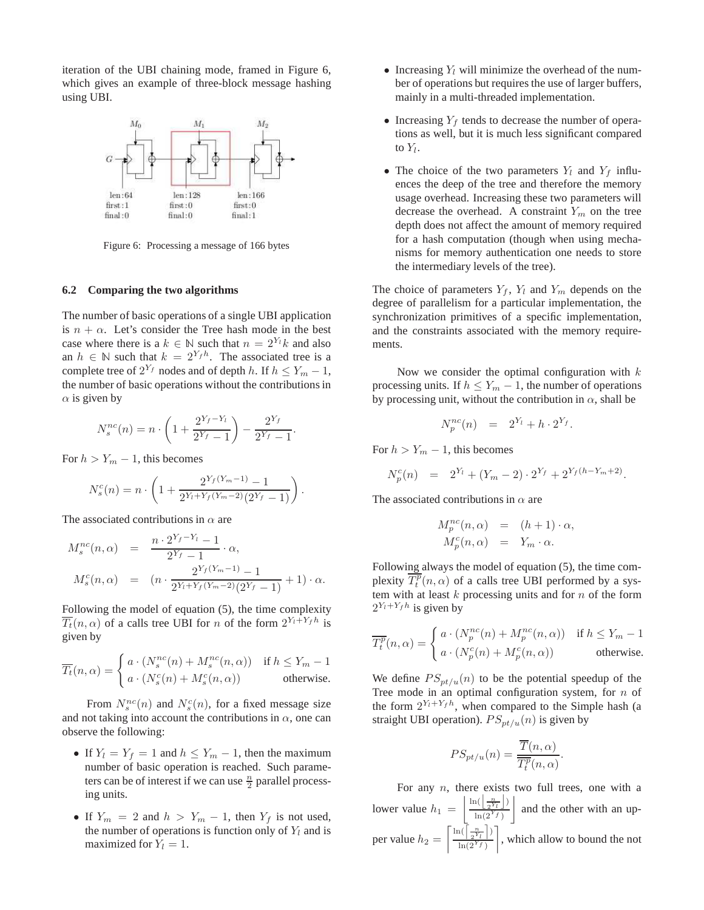iteration of the UBI chaining mode, framed in Figure 6, which gives an example of three-block message hashing using UBI.



Figure 6: Processing a message of 166 bytes

#### **6.2 Comparing the two algorithms**

The number of basic operations of a single UBI application is  $n + \alpha$ . Let's consider the Tree hash mode in the best case where there is a  $k \in \mathbb{N}$  such that  $n = 2^{Y_l} k$  and also an  $h \in \mathbb{N}$  such that  $k = 2^{Y_f h}$ . The associated tree is a complete tree of  $2^{Y_f}$  nodes and of depth h. If  $h \leq Y_m - 1$ , the number of basic operations without the contributions in  $\alpha$  is given by

$$
N_s^{nc}(n) = n \cdot \left(1 + \frac{2^{Y_f - Y_l}}{2^{Y_f} - 1}\right) - \frac{2^{Y_f}}{2^{Y_f} - 1}.
$$

For  $h > Y_m - 1$ , this becomes

$$
N_s^c(n) = n \cdot \left(1 + \frac{2^{Y_f(Y_m - 1)} - 1}{2^{Y_t + Y_f(Y_m - 2)}(2^{Y_f} - 1)}\right).
$$

The associated contributions in  $\alpha$  are

$$
M_s^{nc}(n, \alpha) = \frac{n \cdot 2^{Y_f - Y_l} - 1}{2^{Y_f} - 1} \cdot \alpha,
$$
  

$$
M_s^{c}(n, \alpha) = (n \cdot \frac{2^{Y_f(Y_m - 1)} - 1}{2^{Y_I + Y_f(Y_m - 2)}(2^{Y_f} - 1)} + 1) \cdot \alpha.
$$

Following the model of equation (5), the time complexity  $\overline{T_t}(n, \alpha)$  of a calls tree UBI for n of the form  $2^{Y_t+Y_f h}$  is given by

$$
\overline{T_t}(n,\alpha) = \begin{cases}\n a \cdot (N_s^{nc}(n) + M_s^{nc}(n,\alpha)) & \text{if } h \le Y_m - 1 \\
 a \cdot (N_s^{c}(n) + M_s^{c}(n,\alpha)) & \text{otherwise.} \n\end{cases}
$$

From  $N_s^{nc}(n)$  and  $N_s^{c}(n)$ , for a fixed message size and not taking into account the contributions in  $\alpha$ , one can observe the following:

- If  $Y_l = Y_f = 1$  and  $h \leq Y_m 1$ , then the maximum number of basic operation is reached. Such parameters can be of interest if we can use  $\frac{n}{2}$  parallel processing units.
- If  $Y_m = 2$  and  $h > Y_m 1$ , then  $Y_f$  is not used, the number of operations is function only of  $Y_l$  and is maximized for  $Y_l = 1$ .
- Increasing  $Y_l$  will minimize the overhead of the number of operations but requires the use of larger buffers, mainly in a multi-threaded implementation.
- Increasing  $Y_f$  tends to decrease the number of operations as well, but it is much less significant compared to  $Y_l$ .
- The choice of the two parameters  $Y_l$  and  $Y_f$  influences the deep of the tree and therefore the memory usage overhead. Increasing these two parameters will decrease the overhead. A constraint  $Y_m$  on the tree depth does not affect the amount of memory required for a hash computation (though when using mechanisms for memory authentication one needs to store the intermediary levels of the tree).

The choice of parameters  $Y_f$ ,  $Y_l$  and  $Y_m$  depends on the degree of parallelism for a particular implementation, the synchronization primitives of a specific implementation, and the constraints associated with the memory requirements.

Now we consider the optimal configuration with  $k$ processing units. If  $h \le Y_m - 1$ , the number of operations by processing unit, without the contribution in  $\alpha$ , shall be

$$
N_p^{nc}(n) = 2^{Y_l} + h \cdot 2^{Y_f}.
$$

For  $h > Y_m - 1$ , this becomes

$$
N_p^c(n) = 2^{Y_l} + (Y_m - 2) \cdot 2^{Y_f} + 2^{Y_f(h - Y_m + 2)}.
$$

The associated contributions in  $\alpha$  are

$$
M_p^{nc}(n,\alpha) = (h+1) \cdot \alpha,
$$
  
\n
$$
M_p^{c}(n,\alpha) = Y_m \cdot \alpha.
$$

Following always the model of equation (5), the time complexity  $\overline{T_t^p}(n, \alpha)$  of a calls tree UBI performed by a system with at least  $k$  processing units and for  $n$  of the form  $2^{Y_t+Y_f h}$  is given by

$$
\overline{T_t^p}(n,\alpha) = \begin{cases}\n a \cdot (N_p^{nc}(n) + M_p^{nc}(n,\alpha)) & \text{if } h \le Y_m - 1 \\
 a \cdot (N_p^c(n) + M_p^c(n,\alpha)) & \text{otherwise.} \n\end{cases}
$$

We define  $PS_{pt/u}(n)$  to be the potential speedup of the Tree mode in an optimal configuration system, for  $n$  of the form  $2^{Y_t+Y_f h}$ , when compared to the Simple hash (a straight UBI operation).  $PS_{pt/u}(n)$  is given by

$$
PS_{pt/u}(n) = \frac{\overline{T}(n, \alpha)}{\overline{T_t^p}(n, \alpha)}.
$$

For any  $n$ , there exists two full trees, one with a lower value  $h_1 = \left| \frac{\ln(\left\lfloor \frac{n}{2^Y_l} \right\rfloor)}{\ln(2^Y_l)} \right|$  $\ln(2^{Y_f})$ and the other with an upper value  $h_2 = \left[\frac{\ln(\left[\frac{n}{2^Y_l}\right])}{\ln(2^Y_l)}\right]$  $ln(2^{Y_f})$ , which allow to bound the not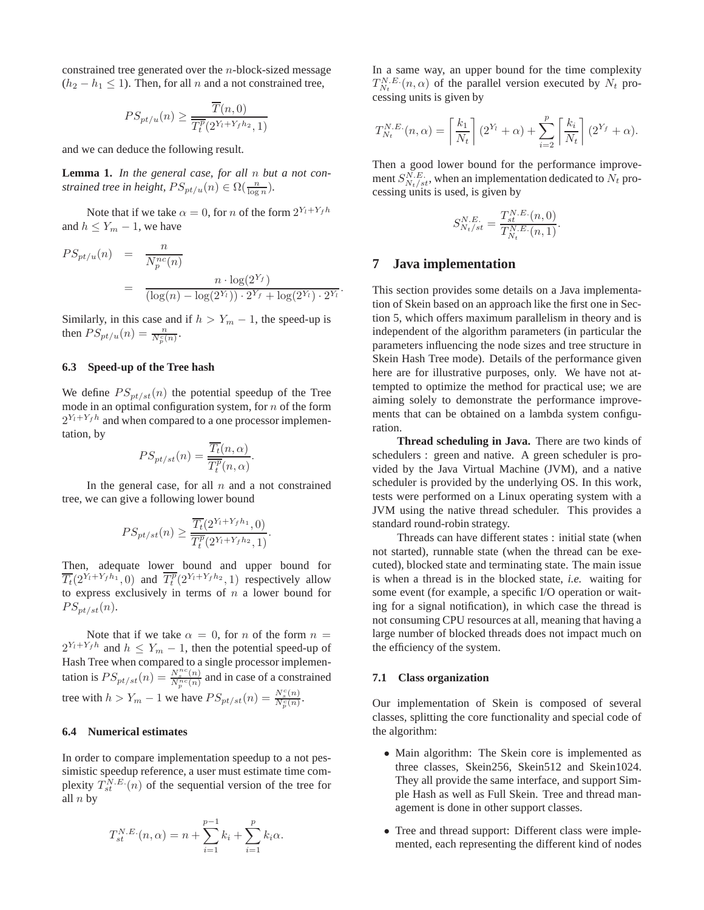constrained tree generated over the n-block-sized message  $(h_2 - h_1 \le 1)$ . Then, for all n and a not constrained tree,

$$
PS_{pt/u}(n) \ge \frac{\overline{T}(n,0)}{\overline{T^p_t(2^{Y_t+Y_f h_2},1)}}
$$

and we can deduce the following result.

**Lemma 1.** *In the general case, for all* n *but a not constrained tree in height,*  $PS_{pt/u}(n) \in \Omega(\frac{n}{\log n})$ .

Note that if we take  $\alpha = 0$ , for *n* of the form  $2^{Y_t + Y_f h}$ and  $h \leq Y_m - 1$ , we have

$$
PS_{pt/u}(n) = \frac{n}{N_p^{nc}(n)}
$$
  
= 
$$
\frac{n \cdot \log(2^{Y_f})}{(\log(n) - \log(2^{Y_i})) \cdot 2^{Y_f} + \log(2^{Y_i}) \cdot 2^{Y_i}}.
$$

Similarly, in this case and if  $h > Y_m - 1$ , the speed-up is then  $PS_{pt/u}(n) = \frac{n}{N_p^c(n)}$ .

## **6.3 Speed-up of the Tree hash**

We define  $PS_{pt/st}(n)$  the potential speedup of the Tree mode in an optimal configuration system, for  $n$  of the form  $2^{Y_t+Y_f}$  and when compared to a one processor implementation, by

$$
PS_{pt/st}(n) = \frac{\overline{T_t}(n, \alpha)}{\overline{T_t^p}(n, \alpha)}.
$$

In the general case, for all  $n$  and a not constrained tree, we can give a following lower bound

$$
PS_{pt/st}(n) \ge \frac{\overline{T_t}(2^{Y_l + Y_f h_1}, 0)}{\overline{T_t^p}(2^{Y_l + Y_f h_2}, 1)}
$$

.

Then, adequate lower bound and upper bound for  $\overline{T_t}(2^{Y_t+Y_fh_1},0)$  and  $\overline{T_t^p}(2^{Y_t+Y_fh_2},1)$  respectively allow to express exclusively in terms of  $n$  a lower bound for  $PS_{pt/st}(n).$ 

Note that if we take  $\alpha = 0$ , for n of the form  $n =$  $2^{Y_t+Y_f h}$  and  $h \leq Y_m - 1$ , then the potential speed-up of Hash Tree when compared to a single processor implementation is  $PS_{pt/st}(n) = \frac{N_s^{nc}(n)}{N_p^{nc}(n)}$  and in case of a constrained tree with  $h > Y_m - 1$  we have  $PS_{pt/st}(n) = \frac{N_s^c(n)}{N_p^c(n)}$ .

### **6.4 Numerical estimates**

In order to compare implementation speedup to a not pessimistic speedup reference, a user must estimate time complexity  $T_{st}^{N.E.}(n)$  of the sequential version of the tree for all  $n$  by

$$
T_{st}^{N.E.}(n,\alpha) = n + \sum_{i=1}^{p-1} k_i + \sum_{i=1}^{p} k_i \alpha.
$$

In a same way, an upper bound for the time complexity  $T_{N_t}^{N.E.}(n,\alpha)$  of the parallel version executed by  $N_t$  processing units is given by

$$
T_{N_t}^{N.E.}(n,\alpha) = \left\lceil \frac{k_1}{N_t} \right\rceil (2^{Y_t} + \alpha) + \sum_{i=2}^p \left\lceil \frac{k_i}{N_t} \right\rceil (2^{Y_f} + \alpha).
$$

Then a good lower bound for the performance improvement  $S_{N_t/st}^{N.E.}$ , when an implementation dedicated to  $N_t$  processing units is used, is given by

$$
S_{N_t/st}^{N.E.} = \frac{T_{st}^{N.E.}(n,0)}{T_{N_t}^{N.E.}(n,1)}.
$$

## **7 Java implementation**

This section provides some details on a Java implementation of Skein based on an approach like the first one in Section 5, which offers maximum parallelism in theory and is independent of the algorithm parameters (in particular the parameters influencing the node sizes and tree structure in Skein Hash Tree mode). Details of the performance given here are for illustrative purposes, only. We have not attempted to optimize the method for practical use; we are aiming solely to demonstrate the performance improvements that can be obtained on a lambda system configuration.

**Thread scheduling in Java.** There are two kinds of schedulers : green and native. A green scheduler is provided by the Java Virtual Machine (JVM), and a native scheduler is provided by the underlying OS. In this work, tests were performed on a Linux operating system with a JVM using the native thread scheduler. This provides a standard round-robin strategy.

Threads can have different states : initial state (when not started), runnable state (when the thread can be executed), blocked state and terminating state. The main issue is when a thread is in the blocked state, *i.e.* waiting for some event (for example, a specific I/O operation or waiting for a signal notification), in which case the thread is not consuming CPU resources at all, meaning that having a large number of blocked threads does not impact much on the efficiency of the system.

#### **7.1 Class organization**

Our implementation of Skein is composed of several classes, splitting the core functionality and special code of the algorithm:

- Main algorithm: The Skein core is implemented as three classes, Skein256, Skein512 and Skein1024. They all provide the same interface, and support Simple Hash as well as Full Skein. Tree and thread management is done in other support classes.
- Tree and thread support: Different class were implemented, each representing the different kind of nodes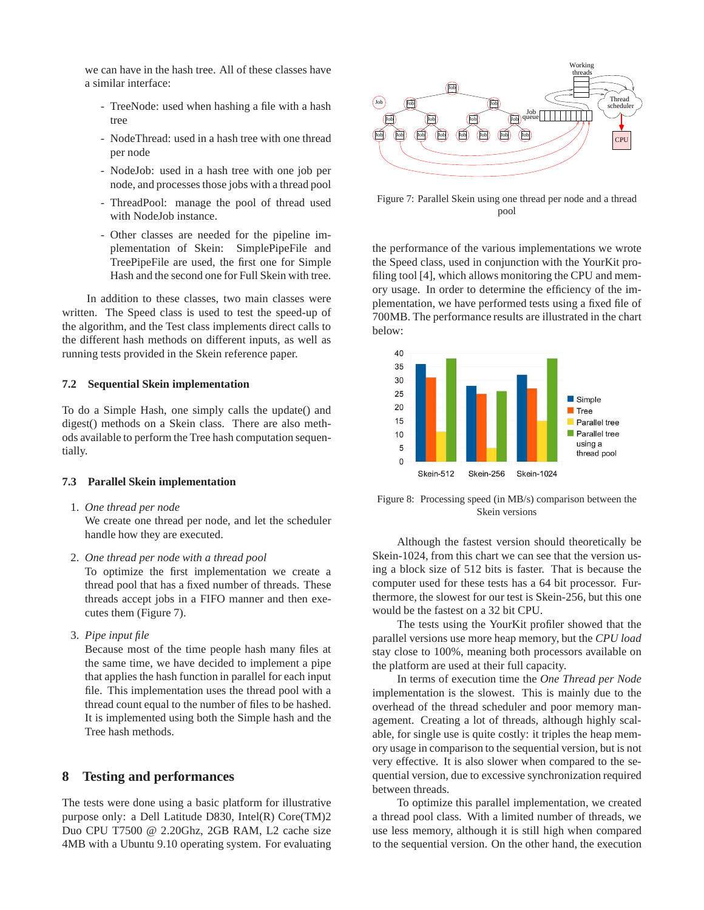we can have in the hash tree. All of these classes have a similar interface:

- TreeNode: used when hashing a file with a hash tree
- NodeThread: used in a hash tree with one thread per node
- NodeJob: used in a hash tree with one job per node, and processes those jobs with a thread pool
- ThreadPool: manage the pool of thread used with NodeJob instance.
- Other classes are needed for the pipeline implementation of Skein: SimplePipeFile and TreePipeFile are used, the first one for Simple Hash and the second one for Full Skein with tree.

In addition to these classes, two main classes were written. The Speed class is used to test the speed-up of the algorithm, and the Test class implements direct calls to the different hash methods on different inputs, as well as running tests provided in the Skein reference paper.

### **7.2 Sequential Skein implementation**

To do a Simple Hash, one simply calls the update() and digest() methods on a Skein class. There are also methods available to perform the Tree hash computation sequentially.

#### **7.3 Parallel Skein implementation**

1. *One thread per node*

We create one thread per node, and let the scheduler handle how they are executed.

2. *One thread per node with a thread pool*

To optimize the first implementation we create a thread pool that has a fixed number of threads. These threads accept jobs in a FIFO manner and then executes them (Figure 7).

3. *Pipe input file*

Because most of the time people hash many files at the same time, we have decided to implement a pipe that applies the hash function in parallel for each input file. This implementation uses the thread pool with a thread count equal to the number of files to be hashed. It is implemented using both the Simple hash and the Tree hash methods.

## **8 Testing and performances**

The tests were done using a basic platform for illustrative purpose only: a Dell Latitude D830, Intel(R) Core(TM)2 Duo CPU T7500 @ 2.20Ghz, 2GB RAM, L2 cache size 4MB with a Ubuntu 9.10 operating system. For evaluating



Figure 7: Parallel Skein using one thread per node and a thread pool

the performance of the various implementations we wrote the Speed class, used in conjunction with the YourKit profiling tool [4], which allows monitoring the CPU and memory usage. In order to determine the efficiency of the implementation, we have performed tests using a fixed file of 700MB. The performance results are illustrated in the chart below:



Figure 8: Processing speed (in MB/s) comparison between the Skein versions

Although the fastest version should theoretically be Skein-1024, from this chart we can see that the version using a block size of 512 bits is faster. That is because the computer used for these tests has a 64 bit processor. Furthermore, the slowest for our test is Skein-256, but this one would be the fastest on a 32 bit CPU.

The tests using the YourKit profiler showed that the parallel versions use more heap memory, but the *CPU load* stay close to 100%, meaning both processors available on the platform are used at their full capacity.

In terms of execution time the *One Thread per Node* implementation is the slowest. This is mainly due to the overhead of the thread scheduler and poor memory management. Creating a lot of threads, although highly scalable, for single use is quite costly: it triples the heap memory usage in comparison to the sequential version, but is not very effective. It is also slower when compared to the sequential version, due to excessive synchronization required between threads.

To optimize this parallel implementation, we created a thread pool class. With a limited number of threads, we use less memory, although it is still high when compared to the sequential version. On the other hand, the execution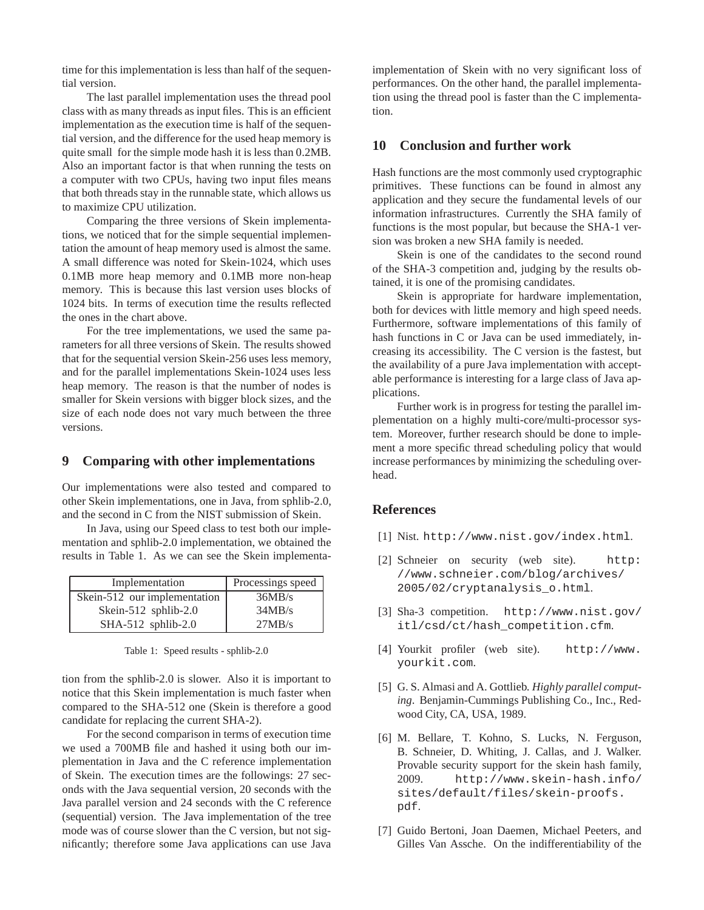time for this implementation is less than half of the sequential version.

The last parallel implementation uses the thread pool class with as many threads as input files. This is an efficient implementation as the execution time is half of the sequential version, and the difference for the used heap memory is quite small for the simple mode hash it is less than 0.2MB. Also an important factor is that when running the tests on a computer with two CPUs, having two input files means that both threads stay in the runnable state, which allows us to maximize CPU utilization.

Comparing the three versions of Skein implementations, we noticed that for the simple sequential implementation the amount of heap memory used is almost the same. A small difference was noted for Skein-1024, which uses 0.1MB more heap memory and 0.1MB more non-heap memory. This is because this last version uses blocks of 1024 bits. In terms of execution time the results reflected the ones in the chart above.

For the tree implementations, we used the same parameters for all three versions of Skein. The results showed that for the sequential version Skein-256 uses less memory, and for the parallel implementations Skein-1024 uses less heap memory. The reason is that the number of nodes is smaller for Skein versions with bigger block sizes, and the size of each node does not vary much between the three versions.

## **9 Comparing with other implementations**

Our implementations were also tested and compared to other Skein implementations, one in Java, from sphlib-2.0, and the second in C from the NIST submission of Skein.

In Java, using our Speed class to test both our implementation and sphlib-2.0 implementation, we obtained the results in Table 1. As we can see the Skein implementa-

| Implementation               | Processings speed |  |
|------------------------------|-------------------|--|
| Skein-512 our implementation | 36MB/s            |  |
| Skein-512 sphlib-2.0         | 34MB/s            |  |
| $SHA-512$ sphlib-2.0         | 27MB/s            |  |

Table 1: Speed results - sphlib-2.0

tion from the sphlib-2.0 is slower. Also it is important to notice that this Skein implementation is much faster when compared to the SHA-512 one (Skein is therefore a good candidate for replacing the current SHA-2).

For the second comparison in terms of execution time we used a 700MB file and hashed it using both our implementation in Java and the C reference implementation of Skein. The execution times are the followings: 27 seconds with the Java sequential version, 20 seconds with the Java parallel version and 24 seconds with the C reference (sequential) version. The Java implementation of the tree mode was of course slower than the C version, but not significantly; therefore some Java applications can use Java

implementation of Skein with no very significant loss of performances. On the other hand, the parallel implementation using the thread pool is faster than the C implementation.

## **10 Conclusion and further work**

Hash functions are the most commonly used cryptographic primitives. These functions can be found in almost any application and they secure the fundamental levels of our information infrastructures. Currently the SHA family of functions is the most popular, but because the SHA-1 version was broken a new SHA family is needed.

Skein is one of the candidates to the second round of the SHA-3 competition and, judging by the results obtained, it is one of the promising candidates.

Skein is appropriate for hardware implementation, both for devices with little memory and high speed needs. Furthermore, software implementations of this family of hash functions in C or Java can be used immediately, increasing its accessibility. The C version is the fastest, but the availability of a pure Java implementation with acceptable performance is interesting for a large class of Java applications.

Further work is in progress for testing the parallel implementation on a highly multi-core/multi-processor system. Moreover, further research should be done to implement a more specific thread scheduling policy that would increase performances by minimizing the scheduling overhead.

## **References**

- [1] Nist. http://www.nist.gov/index.html.
- [2] Schneier on security (web site). http: //www.schneier.com/blog/archives/ 2005/02/cryptanalysis\_o.html.
- [3] Sha-3 competition. http://www.nist.gov/ itl/csd/ct/hash\_competition.cfm.
- [4] Yourkit profiler (web site). http://www. yourkit.com.
- [5] G. S. Almasi and A. Gottlieb. *Highly parallel computing*. Benjamin-Cummings Publishing Co., Inc., Redwood City, CA, USA, 1989.
- [6] M. Bellare, T. Kohno, S. Lucks, N. Ferguson, B. Schneier, D. Whiting, J. Callas, and J. Walker. Provable security support for the skein hash family, 2009. http://www.skein-hash.info/ sites/default/files/skein-proofs. pdf.
- [7] Guido Bertoni, Joan Daemen, Michael Peeters, and Gilles Van Assche. On the indifferentiability of the